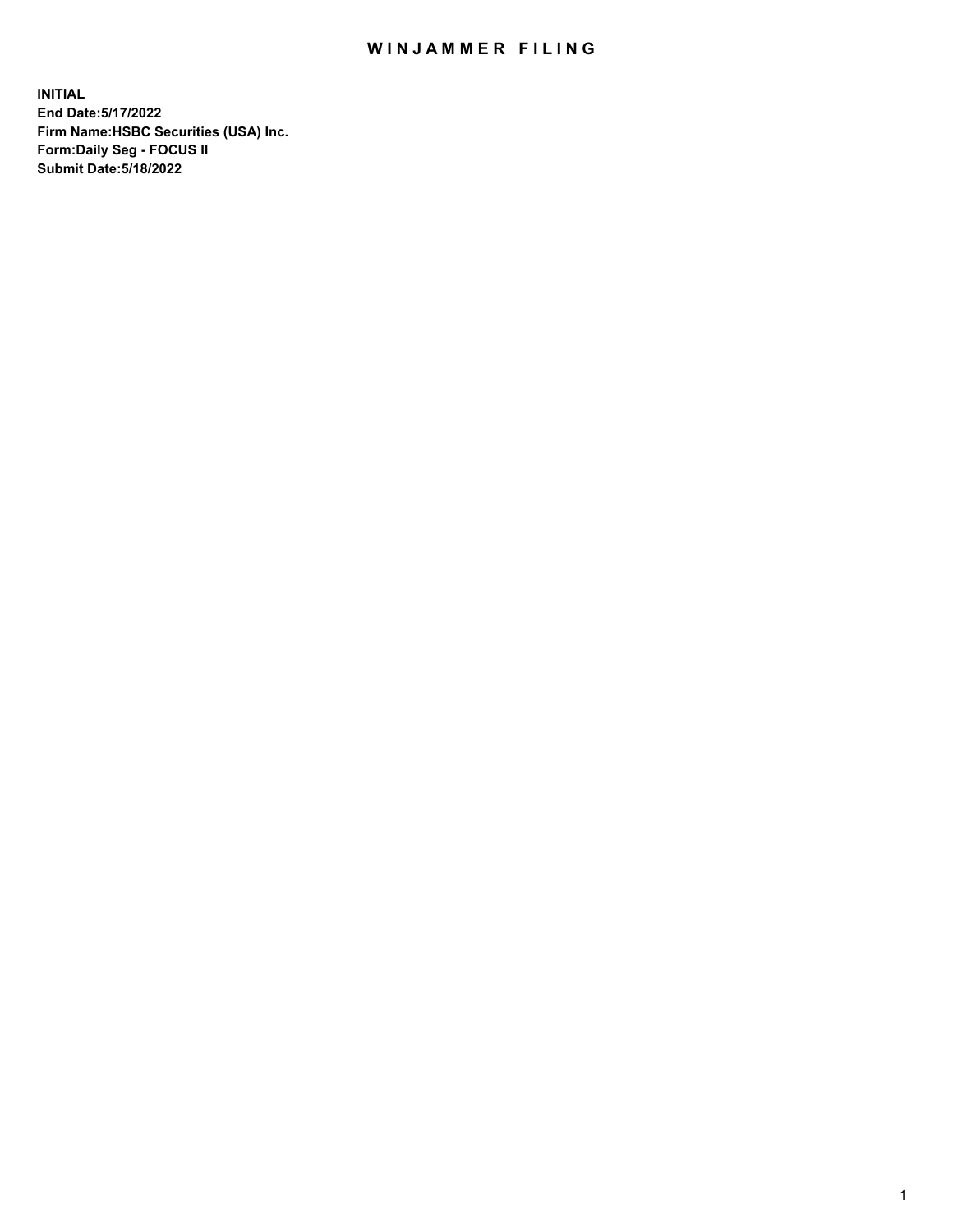## WIN JAMMER FILING

**INITIAL End Date:5/17/2022 Firm Name:HSBC Securities (USA) Inc. Form:Daily Seg - FOCUS II Submit Date:5/18/2022**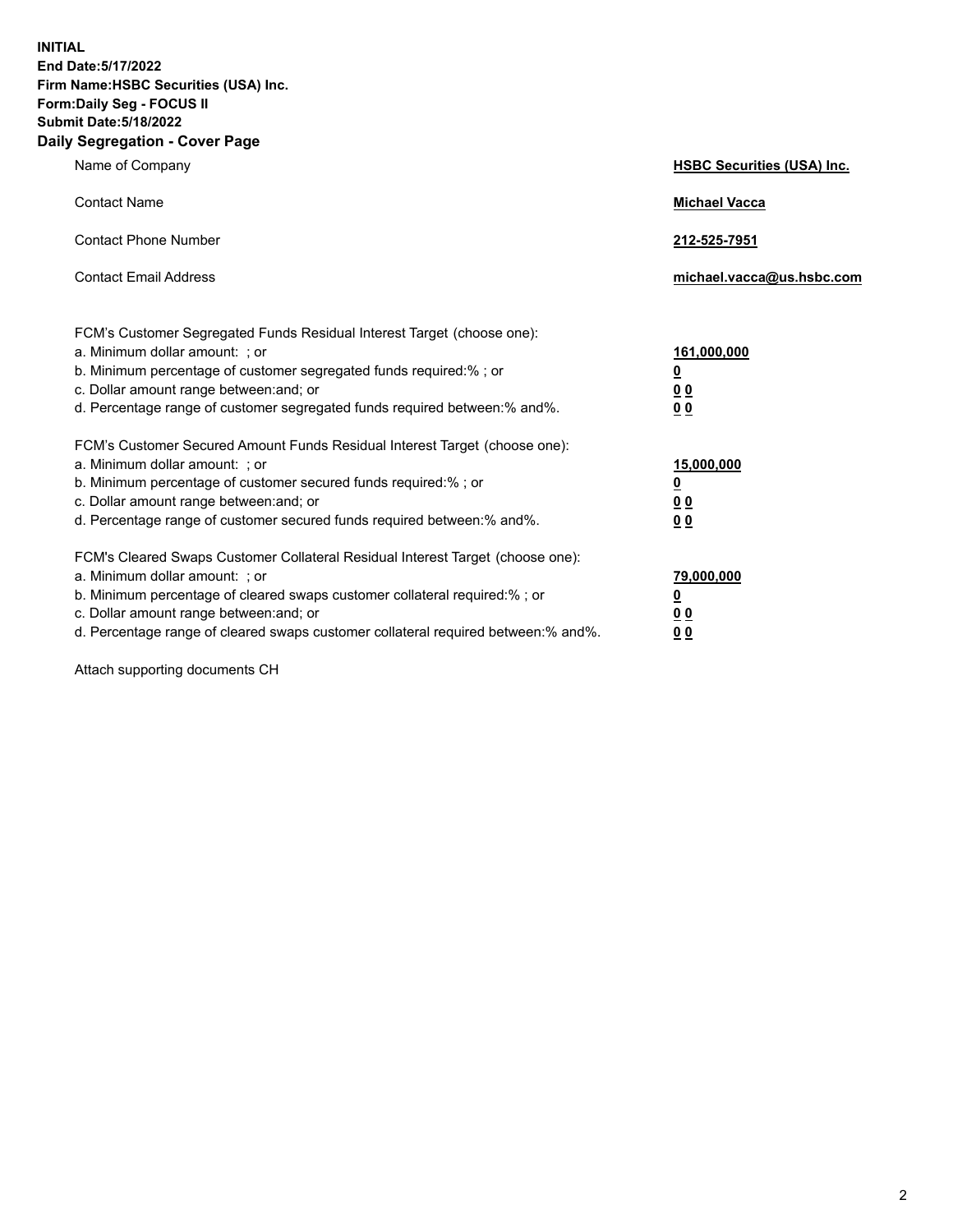**INITIAL End Date:5/17/2022 Firm Name:HSBC Securities (USA) Inc. Form:Daily Seg - FOCUS II Submit Date:5/18/2022 Daily Segregation - Cover Page**

| Name of Company                                                                                                                                                                                                                                                                                                               | <b>HSBC Securities (USA) Inc.</b>                           |
|-------------------------------------------------------------------------------------------------------------------------------------------------------------------------------------------------------------------------------------------------------------------------------------------------------------------------------|-------------------------------------------------------------|
| <b>Contact Name</b>                                                                                                                                                                                                                                                                                                           | <b>Michael Vacca</b>                                        |
| <b>Contact Phone Number</b>                                                                                                                                                                                                                                                                                                   | 212-525-7951                                                |
| <b>Contact Email Address</b>                                                                                                                                                                                                                                                                                                  | michael.vacca@us.hsbc.com                                   |
| FCM's Customer Segregated Funds Residual Interest Target (choose one):<br>a. Minimum dollar amount: ; or<br>b. Minimum percentage of customer segregated funds required:% ; or<br>c. Dollar amount range between: and; or<br>d. Percentage range of customer segregated funds required between:% and%.                        | 161,000,000<br><u>0</u><br>0 <sub>0</sub><br>0 <sub>0</sub> |
| FCM's Customer Secured Amount Funds Residual Interest Target (choose one):<br>a. Minimum dollar amount: ; or<br>b. Minimum percentage of customer secured funds required:%; or<br>c. Dollar amount range between: and; or<br>d. Percentage range of customer secured funds required between: % and %.                         | 15,000,000<br><u>0</u><br>0 <sub>0</sub><br>0 <sub>0</sub>  |
| FCM's Cleared Swaps Customer Collateral Residual Interest Target (choose one):<br>a. Minimum dollar amount: : or<br>b. Minimum percentage of cleared swaps customer collateral required:%; or<br>c. Dollar amount range between: and; or<br>d. Percentage range of cleared swaps customer collateral required between:% and%. | 79,000,000<br><u>0</u><br>00<br>00                          |

Attach supporting documents CH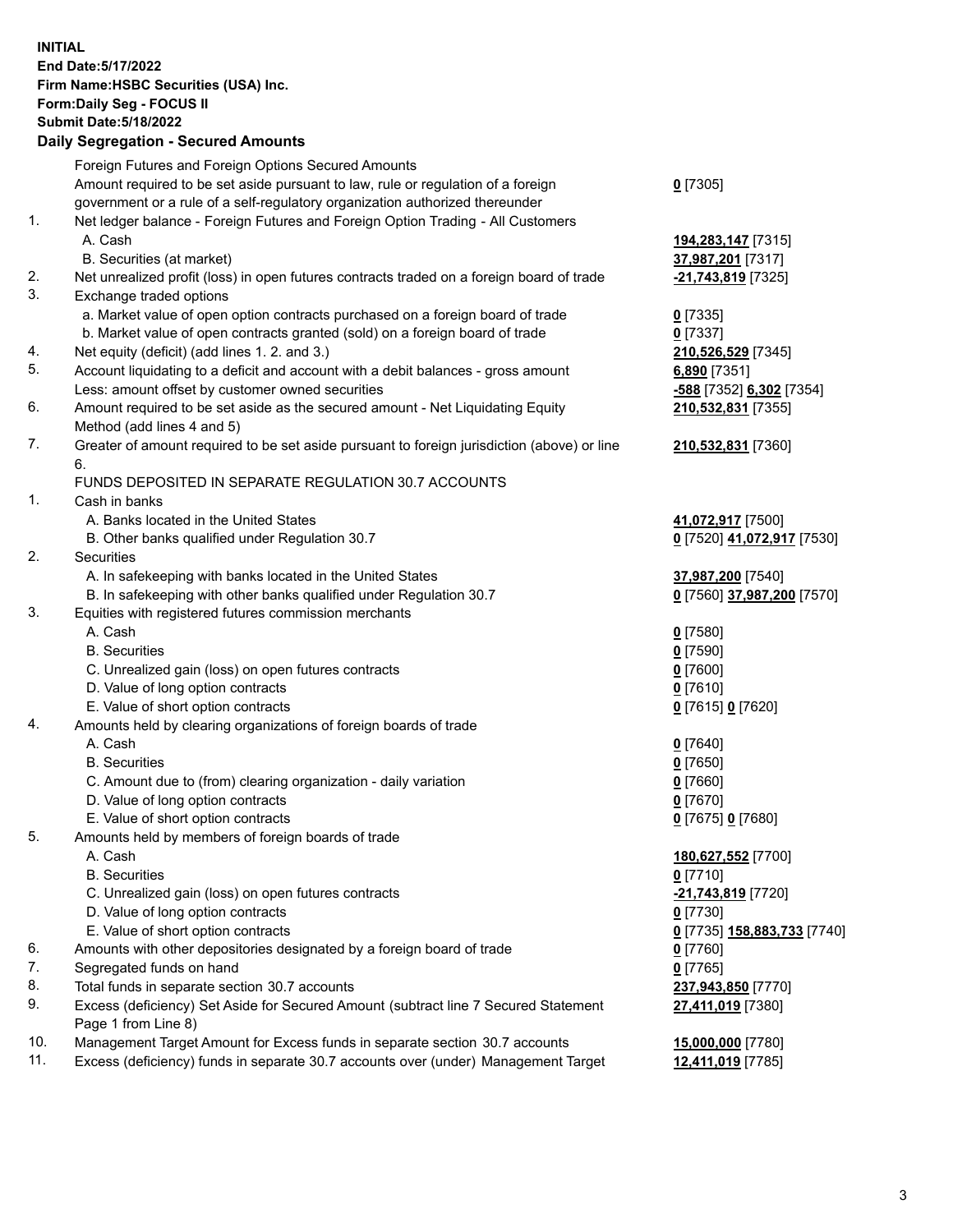**INITIAL End Date:5/17/2022 Firm Name:HSBC Securities (USA) Inc. Form:Daily Seg - FOCUS II Submit Date:5/18/2022 Daily Segregation - Secured Amounts** Foreign Futures and Foreign Options Secured Amounts Amount required to be set aside pursuant to law, rule or regulation of a foreign government or a rule of a self-regulatory organization authorized thereunder 1. Net ledger balance - Foreign Futures and Foreign Option Trading - All Customers A. Cash **194,283,147** [7315] B. Securities (at market) **37,987,201** [7317] 2. Net unrealized profit (loss) in open futures contracts traded on a foreign board of trade **-21,743,819** [7325] 3. Exchange traded options a. Market value of open option contracts purchased on a foreign board of trade **0** [7335] b. Market value of open contracts granted (sold) on a foreign board of trade **0** [7337] 4. Net equity (deficit) (add lines 1. 2. and 3.) **210,526,529** [7345] 5. Account liquidating to a deficit and account with a debit balances - gross amount **6,890** [7351] Less: amount offset by customer owned securities **-588** [7352] **6,302** [7354] 6. Amount required to be set aside as the secured amount - Net Liquidating Equity

Method (add lines 4 and 5) 7. Greater of amount required to be set aside pursuant to foreign jurisdiction (above) or line

## FUNDS DEPOSITED IN SEPARATE REGULATION 30.7 ACCOUNTS

1. Cash in banks

- A. Banks located in the United States **41,072,917** [7500]
- B. Other banks qualified under Regulation 30.7 **0** [7520] **41,072,917** [7530]
- 2. Securities

6.

- A. In safekeeping with banks located in the United States **37,987,200** [7540]
- B. In safekeeping with other banks qualified under Regulation 30.7 **0** [7560] **37,987,200** [7570]
- 3. Equities with registered futures commission merchants
	- A. Cash **0** [7580]
	- B. Securities **0** [7590]
	- C. Unrealized gain (loss) on open futures contracts **0** [7600]
	- D. Value of long option contracts **0** [7610]
	- E. Value of short option contracts **0** [7615] **0** [7620]
- 4. Amounts held by clearing organizations of foreign boards of trade
	- A. Cash **0** [7640]
	- B. Securities **0** [7650]
	- C. Amount due to (from) clearing organization daily variation **0** [7660]
	- D. Value of long option contracts **0** [7670]
	- E. Value of short option contracts **0** [7675] **0** [7680]
- 5. Amounts held by members of foreign boards of trade
	- A. Cash **180,627,552** [7700]
	- B. Securities **0** [7710]
	- C. Unrealized gain (loss) on open futures contracts **-21,743,819** [7720]
	- D. Value of long option contracts **0** [7730]
	- E. Value of short option contracts **0** [7735] **158,883,733** [7740]
- 6. Amounts with other depositories designated by a foreign board of trade **0** [7760]
- 7. Segregated funds on hand **0** [7765]
- 8. Total funds in separate section 30.7 accounts **237,943,850** [7770]
- 9. Excess (deficiency) Set Aside for Secured Amount (subtract line 7 Secured Statement Page 1 from Line 8)
- 10. Management Target Amount for Excess funds in separate section 30.7 accounts **15,000,000** [7780]
- 11. Excess (deficiency) funds in separate 30.7 accounts over (under) Management Target **12,411,019** [7785]

**0** [7305]

**210,532,831** [7355]

**210,532,831** [7360]

**27,411,019** [7380]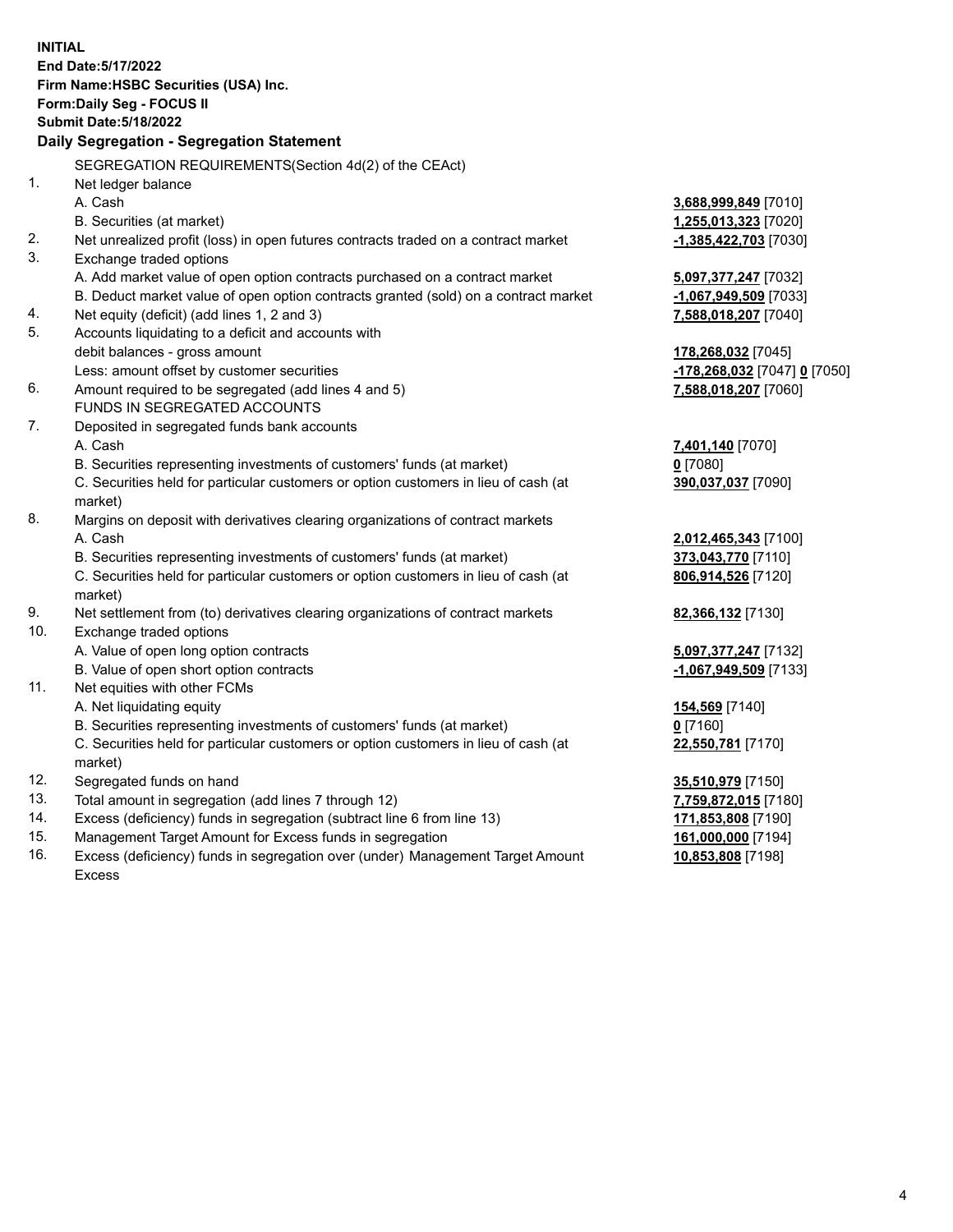**INITIAL End Date:5/17/2022 Firm Name:HSBC Securities (USA) Inc. Form:Daily Seg - FOCUS II Submit Date:5/18/2022 Daily Segregation - Segregation Statement** SEGREGATION REQUIREMENTS(Section 4d(2) of the CEAct) 1. Net ledger balance A. Cash **3,688,999,849** [7010] B. Securities (at market) **1,255,013,323** [7020] 2. Net unrealized profit (loss) in open futures contracts traded on a contract market **-1,385,422,703** [7030] 3. Exchange traded options A. Add market value of open option contracts purchased on a contract market **5,097,377,247** [7032] B. Deduct market value of open option contracts granted (sold) on a contract market **-1,067,949,509** [7033] 4. Net equity (deficit) (add lines 1, 2 and 3) **7,588,018,207** [7040] 5. Accounts liquidating to a deficit and accounts with debit balances - gross amount **178,268,032** [7045] Less: amount offset by customer securities **-178,268,032** [7047] **0** [7050] 6. Amount required to be segregated (add lines 4 and 5) **7,588,018,207** [7060] FUNDS IN SEGREGATED ACCOUNTS 7. Deposited in segregated funds bank accounts A. Cash **7,401,140** [7070] B. Securities representing investments of customers' funds (at market) **0** [7080] C. Securities held for particular customers or option customers in lieu of cash (at market) **390,037,037** [7090] 8. Margins on deposit with derivatives clearing organizations of contract markets A. Cash **2,012,465,343** [7100] B. Securities representing investments of customers' funds (at market) **373,043,770** [7110] C. Securities held for particular customers or option customers in lieu of cash (at market) **806,914,526** [7120] 9. Net settlement from (to) derivatives clearing organizations of contract markets **82,366,132** [7130] 10. Exchange traded options A. Value of open long option contracts **5,097,377,247** [7132] B. Value of open short option contracts **-1,067,949,509** [7133] 11. Net equities with other FCMs A. Net liquidating equity **154,569** [7140] B. Securities representing investments of customers' funds (at market) **0** [7160] C. Securities held for particular customers or option customers in lieu of cash (at market) **22,550,781** [7170] 12. Segregated funds on hand **35,510,979** [7150] 13. Total amount in segregation (add lines 7 through 12) **7,759,872,015** [7180] 14. Excess (deficiency) funds in segregation (subtract line 6 from line 13) **171,853,808** [7190] 15. Management Target Amount for Excess funds in segregation **161,000,000** [7194] 16. Excess (deficiency) funds in segregation over (under) Management Target Amount **10,853,808** [7198]

Excess